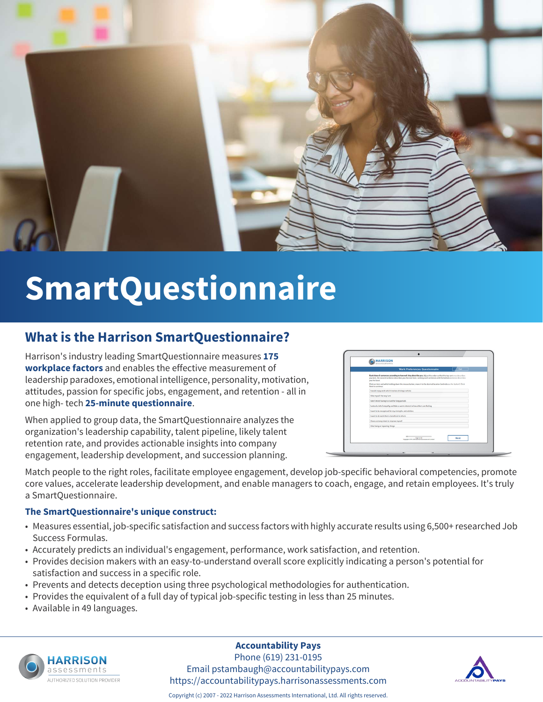

# **SmartQuestionnaire**

## **What is the Harrison SmartQuestionnaire?**

Harrison's industry leading SmartQuestionnaire measures **175 workplace factors** and enables the effective measurement of leadership paradoxes, emotional intelligence, personality, motivation, attitudes, passion for specific jobs, engagement, and retention - all in one high- tech **25-minute questionnaire**.

When applied to group data, the SmartQuestionnaire analyzes the organization's leadership capability, talent pipeline, likely talent retention rate, and provides actionable insights into company engagement, leadership development, and succession planning.

| <b>HARRISON</b>                                                                                                                                                                                                                                                |
|----------------------------------------------------------------------------------------------------------------------------------------------------------------------------------------------------------------------------------------------------------------|
| Exit<br><b>Work Preferences Questionnaire</b>                                                                                                                                                                                                                  |
| Rank these 8 sentences according to how well they describe you. Adjust the order so that the top sentence describes<br>you best, the second sentence describes you the next best, ranking each sentence until the bottom sentence describes.<br>you the least. |
| Click an item and while holding down the mouse button, move it to the desired location land release the button). Click<br>Next to continue.                                                                                                                    |
| I would enjoy work which involves driving a vehicle                                                                                                                                                                                                            |
| I like myself the way I am                                                                                                                                                                                                                                     |
| I don't mind having to stand for long periods                                                                                                                                                                                                                  |
| I extend a lot of empathy and take a warm interest in how others are feeling                                                                                                                                                                                   |
| I want to be recognised for my strengths and abilities.                                                                                                                                                                                                        |
| I want to do work that is beneficial to others.                                                                                                                                                                                                                |
| I have a strong intent to improve myself.                                                                                                                                                                                                                      |
| I like fixing or repairing things                                                                                                                                                                                                                              |
|                                                                                                                                                                                                                                                                |
| <b>Page Lat 18</b><br><b>Next</b><br>Copyright O 1995-2014 Flaminum Robertsmann; Int'l Lenand                                                                                                                                                                  |

Match people to the right roles, facilitate employee engagement, develop job-specific behavioral competencies, promote core values, accelerate leadership development, and enable managers to coach, engage, and retain employees. It's truly a SmartQuestionnaire.

#### **The SmartQuestionnaire's unique construct:**

- Measures essential, job-specific satisfaction and success factors with highly accurate results using 6,500+ researched Job Success Formulas.
- Accurately predicts an individual's engagement, performance, work satisfaction, and retention.
- Provides decision makers with an easy-to-understand overall score explicitly indicating a person's potential for satisfaction and success in a specific role.
- Prevents and detects deception using three psychological methodologies for authentication.
- Provides the equivalent of a full day of typical job-specific testing in less than 25 minutes.
- Available in 49 languages.



#### **Accountability Pays**

Phone (619) 231-0195 Email pstambaugh@accountabilitypays.com https://accountabilitypays.harrisonassessments.com